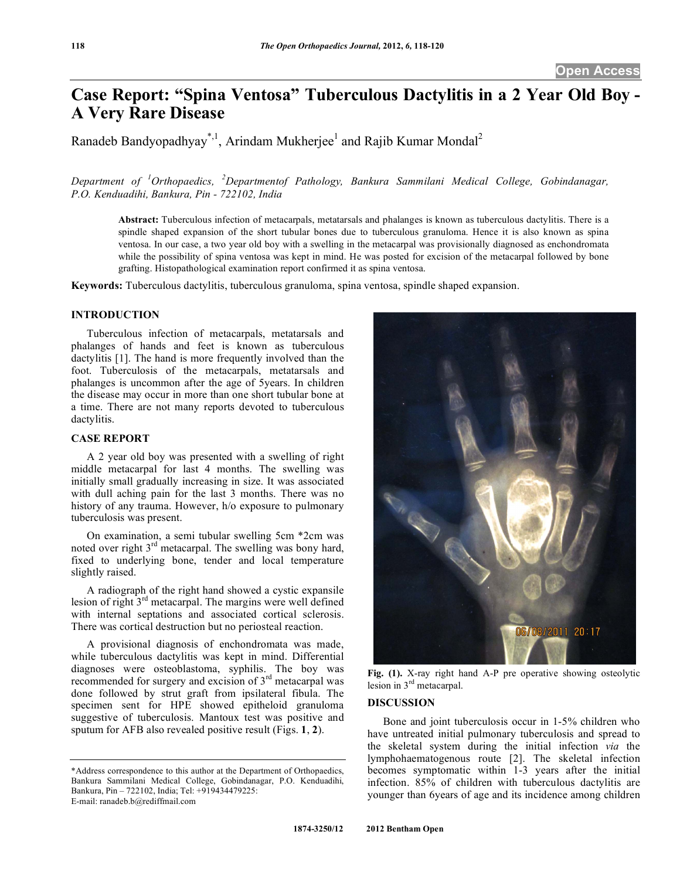# **Case Report: "Spina Ventosa" Tuberculous Dactylitis in a 2 Year Old Boy - A Very Rare Disease**

Ranadeb Bandyopadhyay<sup>\*, 1</sup>, Arindam Mukherjee<sup>1</sup> and Rajib Kumar Mondal<sup>2</sup>

# Department of <sup>1</sup>Orthopaedics, <sup>2</sup>Departmentof Pathology, Bankura Sammilani Medical College, Gobindanagar, *P.O. Kenduadihi, Bankura, Pin - 722102, India*

**Abstract:** Tuberculous infection of metacarpals, metatarsals and phalanges is known as tuberculous dactylitis. There is a spindle shaped expansion of the short tubular bones due to tuberculous granuloma. Hence it is also known as spina ventosa. In our case, a two year old boy with a swelling in the metacarpal was provisionally diagnosed as enchondromata while the possibility of spina ventosa was kept in mind. He was posted for excision of the metacarpal followed by bone grafting. Histopathological examination report confirmed it as spina ventosa.

**Keywords:** Tuberculous dactylitis, tuberculous granuloma, spina ventosa, spindle shaped expansion.

## **INTRODUCTION**

 Tuberculous infection of metacarpals, metatarsals and phalanges of hands and feet is known as tuberculous dactylitis [1]. The hand is more frequently involved than the foot. Tuberculosis of the metacarpals, metatarsals and phalanges is uncommon after the age of 5years. In children the disease may occur in more than one short tubular bone at a time. There are not many reports devoted to tuberculous dactylitis.

### **CASE REPORT**

 A 2 year old boy was presented with a swelling of right middle metacarpal for last 4 months. The swelling was initially small gradually increasing in size. It was associated with dull aching pain for the last 3 months. There was no history of any trauma. However, h/o exposure to pulmonary tuberculosis was present.

 On examination, a semi tubular swelling 5cm \*2cm was noted over right  $3<sup>rd</sup>$  metacarpal. The swelling was bony hard, fixed to underlying bone, tender and local temperature slightly raised.

 A radiograph of the right hand showed a cystic expansile lesion of right  $3<sup>rd</sup>$  metacarpal. The margins were well defined with internal septations and associated cortical sclerosis. There was cortical destruction but no periosteal reaction.

 A provisional diagnosis of enchondromata was made, while tuberculous dactylitis was kept in mind. Differential diagnoses were osteoblastoma, syphilis. The boy was recommended for surgery and excision of 3rd metacarpal was done followed by strut graft from ipsilateral fibula. The specimen sent for HPE showed epitheloid granuloma suggestive of tuberculosis. Mantoux test was positive and sputum for AFB also revealed positive result (Figs. **1**, **2**).



**Fig. (1).** X-ray right hand A-P pre operative showing osteolytic lesion in 3rd metacarpal.

### **DISCUSSION**

 Bone and joint tuberculosis occur in 1-5% children who have untreated initial pulmonary tuberculosis and spread to the skeletal system during the initial infection *via* the lymphohaematogenous route [2]. The skeletal infection becomes symptomatic within 1-3 years after the initial infection. 85% of children with tuberculous dactylitis are younger than 6years of age and its incidence among children

<sup>\*</sup>Address correspondence to this author at the Department of Orthopaedics, Bankura Sammilani Medical College, Gobindanagar, P.O. Kenduadihi, Bankura, Pin – 722102, India; Tel: +919434479225: E-mail: ranadeb.b@rediffmail.com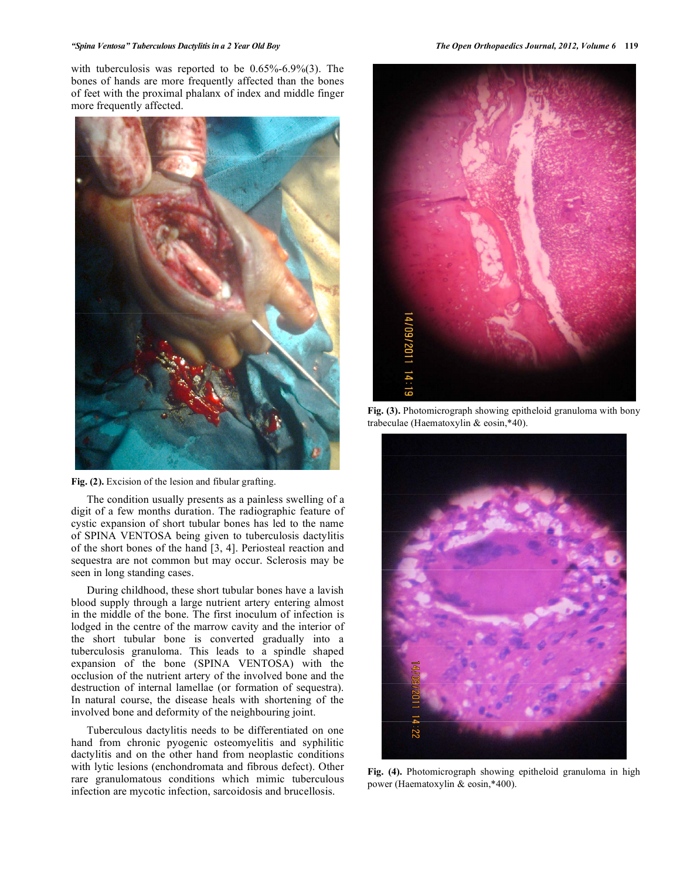#### *"Spina Ventosa" Tuberculous Dactylitis in a 2 Year Old Boy The Open Orthopaedics Journal, 2012, Volume 6* **119**

with tuberculosis was reported to be 0.65%-6.9%(3). The bones of hands are more frequently affected than the bones of feet with the proximal phalanx of index and middle finger more frequently affected.



**Fig. (2).** Excision of the lesion and fibular grafting.

 The condition usually presents as a painless swelling of a digit of a few months duration. The radiographic feature of cystic expansion of short tubular bones has led to the name of SPINA VENTOSA being given to tuberculosis dactylitis of the short bones of the hand [3, 4]. Periosteal reaction and sequestra are not common but may occur. Sclerosis may be seen in long standing cases.

 During childhood, these short tubular bones have a lavish blood supply through a large nutrient artery entering almost in the middle of the bone. The first inoculum of infection is lodged in the centre of the marrow cavity and the interior of the short tubular bone is converted gradually into a tuberculosis granuloma. This leads to a spindle shaped expansion of the bone (SPINA VENTOSA) with the occlusion of the nutrient artery of the involved bone and the destruction of internal lamellae (or formation of sequestra). In natural course, the disease heals with shortening of the involved bone and deformity of the neighbouring joint.

 Tuberculous dactylitis needs to be differentiated on one hand from chronic pyogenic osteomyelitis and syphilitic dactylitis and on the other hand from neoplastic conditions with lytic lesions (enchondromata and fibrous defect). Other rare granulomatous conditions which mimic tuberculous infection are mycotic infection, sarcoidosis and brucellosis.



**Fig. (3).** Photomicrograph showing epitheloid granuloma with bony trabeculae (Haematoxylin & eosin,\*40).



**Fig. (4).** Photomicrograph showing epitheloid granuloma in high power (Haematoxylin & eosin,\*400).